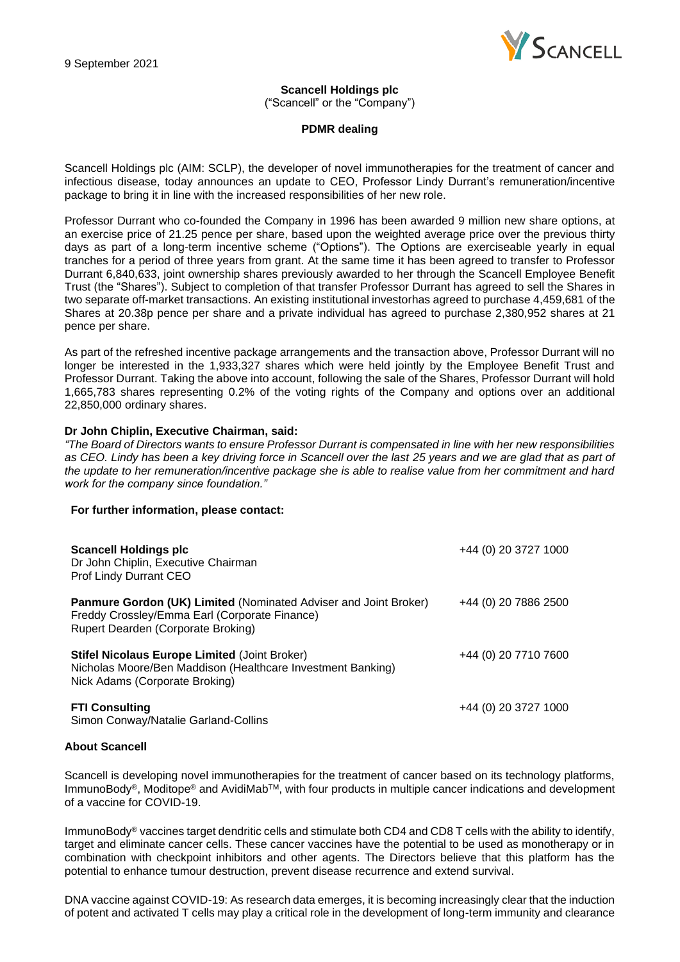

**Scancell Holdings plc**

("Scancell" or the "Company")

### **PDMR dealing**

Scancell Holdings plc (AIM: SCLP), the developer of novel immunotherapies for the treatment of cancer and infectious disease, today announces an update to CEO, Professor Lindy Durrant's remuneration/incentive package to bring it in line with the increased responsibilities of her new role.

Professor Durrant who co-founded the Company in 1996 has been awarded 9 million new share options, at an exercise price of 21.25 pence per share, based upon the weighted average price over the previous thirty days as part of a long-term incentive scheme ("Options"). The Options are exerciseable yearly in equal tranches for a period of three years from grant. At the same time it has been agreed to transfer to Professor Durrant 6,840,633, joint ownership shares previously awarded to her through the Scancell Employee Benefit Trust (the "Shares"). Subject to completion of that transfer Professor Durrant has agreed to sell the Shares in two separate off-market transactions. An existing institutional investorhas agreed to purchase 4,459,681 of the Shares at 20.38p pence per share and a private individual has agreed to purchase 2,380,952 shares at 21 pence per share.

As part of the refreshed incentive package arrangements and the transaction above, Professor Durrant will no longer be interested in the 1,933,327 shares which were held jointly by the Employee Benefit Trust and Professor Durrant. Taking the above into account, following the sale of the Shares, Professor Durrant will hold 1,665,783 shares representing 0.2% of the voting rights of the Company and options over an additional 22,850,000 ordinary shares.

## **Dr John Chiplin, Executive Chairman, said:**

*"The Board of Directors wants to ensure Professor Durrant is compensated in line with her new responsibilities as CEO. Lindy has been a key driving force in Scancell over the last 25 years and we are glad that as part of the update to her remuneration/incentive package she is able to realise value from her commitment and hard work for the company since foundation."*

#### **For further information, please contact:**

| <b>Scancell Holdings plc</b><br>Dr John Chiplin, Executive Chairman<br>Prof Lindy Durrant CEO                                                                  | +44 (0) 20 3727 1000 |
|----------------------------------------------------------------------------------------------------------------------------------------------------------------|----------------------|
| <b>Panmure Gordon (UK) Limited (Nominated Adviser and Joint Broker)</b><br>Freddy Crossley/Emma Earl (Corporate Finance)<br>Rupert Dearden (Corporate Broking) | +44 (0) 20 7886 2500 |
| <b>Stifel Nicolaus Europe Limited (Joint Broker)</b><br>Nicholas Moore/Ben Maddison (Healthcare Investment Banking)<br>Nick Adams (Corporate Broking)          | +44 (0) 20 7710 7600 |
| <b>FTI Consulting</b><br>Simon Conway/Natalie Garland-Collins                                                                                                  | +44 (0) 20 3727 1000 |

#### **About Scancell**

Scancell is developing novel immunotherapies for the treatment of cancer based on its technology platforms, ImmunoBody®, Moditope® and AvidiMabTM, with four products in multiple cancer indications and development of a vaccine for COVID-19.

ImmunoBody<sup>®</sup> vaccines target dendritic cells and stimulate both CD4 and CD8 T cells with the ability to identify, target and eliminate cancer cells. These cancer vaccines have the potential to be used as monotherapy or in combination with checkpoint inhibitors and other agents. The Directors believe that this platform has the potential to enhance tumour destruction, prevent disease recurrence and extend survival.

DNA vaccine against COVID-19: As research data emerges, it is becoming increasingly clear that the induction of potent and activated T cells may play a critical role in the development of long-term immunity and clearance